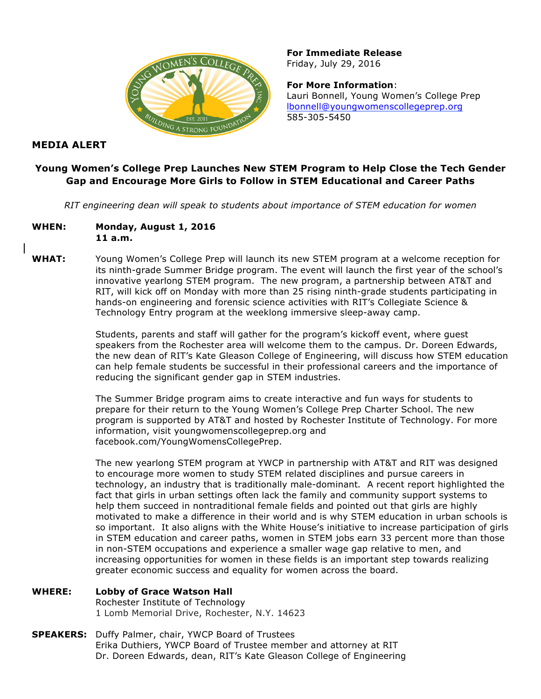

**For Immediate Release** Friday, July 29, 2016

**For More Information**: Lauri Bonnell, Young Women's College Prep lbonnell@youngwomenscollegeprep.org [585-305-5450](mailto:lbonnell@youngwomenscollegeprep.org)

## **MEDIA ALERT**

## **Young Women's College Prep Launches New STEM Program to Help Close the Tech Gender Gap and Encourage More Girls to Follow in STEM Educational and Career Paths**

*RIT engineering dean will speak to students about importance of STEM education for women*

- **WHEN: Monday, August 1, 2016 11 a.m.**
- **WHAT:** Young Women's College Prep will launch its new STEM program at a welcome reception for its ninth-grade Summer Bridge program. The event will launch the first year of the school's innovative yearlong STEM program. The new program, a partnership between AT&T and RIT, will kick off on Monday with more than 25 rising ninth-grade students participating in hands-on engineering and forensic science activities with RIT's Collegiate Science & Technology Entry program at the weeklong immersive sleep-away camp.

Students, parents and staff will gather for the program's kickoff event, where guest speakers from the Rochester area will welcome them to the campus. Dr. Doreen Edwards, the new dean of RIT's Kate Gleason College of Engineering, will discuss how STEM education can help female students be successful in their professional careers and the importance of reducing the significant gender gap in STEM industries.

The Summer Bridge program aims to create interactive and fun ways for students to prepare for their return to the Young Women's College Prep Charter School. The new program is supported by AT&T and hosted by Rochester Institute of Technology. For more information, visit youngwomenscollegeprep.org and facebook.com/YoungWomensCollegePrep.

The new yearlong STEM program at YWCP in partnership with AT&T and RIT was designed to encourage more women to study STEM related disciplines and pursue careers in technology, an industry that is traditionally male-dominant*.* A recent report highlighted the fact that girls in urban settings often lack the family and community support systems to help them succeed in nontraditional female fields and pointed out that girls are highly motivated to make a difference in their world and is why STEM education in urban schools is so important. It also aligns with the White House's initiative to increase participation of girls in STEM education and career paths, women in STEM jobs earn 33 percent more than those in non-STEM occupations and experience a smaller wage gap relative to men, and increasing opportunities for women in these fields is an important step towards realizing greater economic success and equality for women across the board.

**WHERE: Lobby of Grace Watson Hall**

Rochester Institute of Technology 1 Lomb Memorial Drive, Rochester, N.Y. 14623

**SPEAKERS:** Duffy Palmer, chair, YWCP Board of Trustees Erika Duthiers, YWCP Board of Trustee member and attorney at RIT Dr. Doreen Edwards, dean, RIT's Kate Gleason College of Engineering